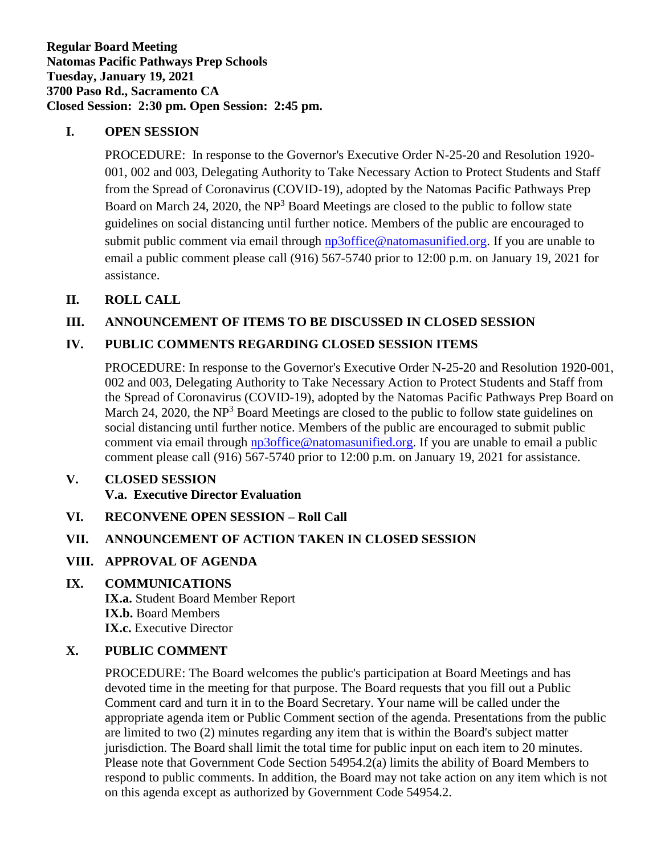**Regular Board Meeting Natomas Pacific Pathways Prep Schools Tuesday, January 19, 2021 3700 Paso Rd., Sacramento CA Closed Session: 2:30 pm. Open Session: 2:45 pm.**

## **I. OPEN SESSION**

PROCEDURE: In response to the Governor's Executive Order N-25-20 and Resolution 1920- 001, 002 and 003, Delegating Authority to Take Necessary Action to Protect Students and Staff from the Spread of Coronavirus (COVID-19), adopted by the Natomas Pacific Pathways Prep Board on March 24, 2020, the  $NP<sup>3</sup>$  Board Meetings are closed to the public to follow state guidelines on social distancing until further notice. Members of the public are encouraged to submit public comment via email through [np3office@natomasunified.org.](mailto:np3office@natomasunified.org) If you are unable to email a public comment please call (916) 567-5740 prior to 12:00 p.m. on January 19, 2021 for assistance.

# **II. ROLL CALL**

# **III. ANNOUNCEMENT OF ITEMS TO BE DISCUSSED IN CLOSED SESSION**

## **IV. PUBLIC COMMENTS REGARDING CLOSED SESSION ITEMS**

PROCEDURE: In response to the Governor's Executive Order N-25-20 and Resolution 1920-001, 002 and 003, Delegating Authority to Take Necessary Action to Protect Students and Staff from the Spread of Coronavirus (COVID-19), adopted by the Natomas Pacific Pathways Prep Board on March 24, 2020, the  $NP<sup>3</sup>$  Board Meetings are closed to the public to follow state guidelines on social distancing until further notice. Members of the public are encouraged to submit public comment via email through [np3office@natomasunified.org.](mailto:np3office@natomasunified.org) If you are unable to email a public comment please call (916) 567-5740 prior to 12:00 p.m. on January 19, 2021 for assistance.

## **V. CLOSED SESSION V.a. Executive Director Evaluation**

# **VI. RECONVENE OPEN SESSION – Roll Call**

#### **VII. ANNOUNCEMENT OF ACTION TAKEN IN CLOSED SESSION**

#### **VIII. APPROVAL OF AGENDA**

# **IX. COMMUNICATIONS**

**IX.a.** Student Board Member Report **IX.b.** Board Members **IX.c.** Executive Director

# **X. PUBLIC COMMENT**

PROCEDURE: The Board welcomes the public's participation at Board Meetings and has devoted time in the meeting for that purpose. The Board requests that you fill out a Public Comment card and turn it in to the Board Secretary. Your name will be called under the appropriate agenda item or Public Comment section of the agenda. Presentations from the public are limited to two (2) minutes regarding any item that is within the Board's subject matter jurisdiction. The Board shall limit the total time for public input on each item to 20 minutes. Please note that Government Code Section 54954.2(a) limits the ability of Board Members to respond to public comments. In addition, the Board may not take action on any item which is not on this agenda except as authorized by Government Code 54954.2.